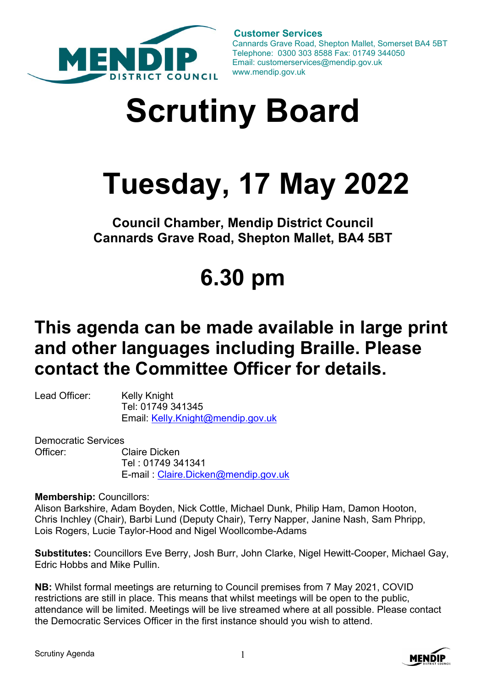

 **Customer Services** Cannards Grave Road, Shepton Mallet, Somerset BA4 5BT Telephone: 0300 303 8588 Fax: 01749 344050 Email: customerservices@mendip.gov.uk www.mendip.gov.uk

# **Scrutiny Board**

## **Tuesday, 17 May 2022**

**Council Chamber, Mendip District Council Cannards Grave Road, Shepton Mallet, BA4 5BT** 

## **6.30 pm**

### **This agenda can be made available in large print and other languages including Braille. Please contact the Committee Officer for details.**

Lead Officer: Kelly Knight Tel: 01749 341345 Email: [Kelly.Knight@mendip.gov.uk](mailto:Kelly.Knight@mendip.gov.uk) 

Democratic Services Officer: Claire Dicken Tel : 01749 341341 E-mail : [Claire.Dicken@mendip.gov.uk](mailto:Claire.Dicken@mendip.gov.uk)

**Membership:** Councillors:

Alison Barkshire, Adam Boyden, Nick Cottle, Michael Dunk, Philip Ham, Damon Hooton, Chris Inchley (Chair), Barbi Lund (Deputy Chair), Terry Napper, Janine Nash, Sam Phripp, Lois Rogers, Lucie Taylor-Hood and Nigel Woollcombe-Adams

**Substitutes:** Councillors Eve Berry, Josh Burr, John Clarke, Nigel Hewitt-Cooper, Michael Gay, Edric Hobbs and Mike Pullin.

**NB:** Whilst formal meetings are returning to Council premises from 7 May 2021, COVID restrictions are still in place. This means that whilst meetings will be open to the public, attendance will be limited. Meetings will be live streamed where at all possible. Please contact the Democratic Services Officer in the first instance should you wish to attend.

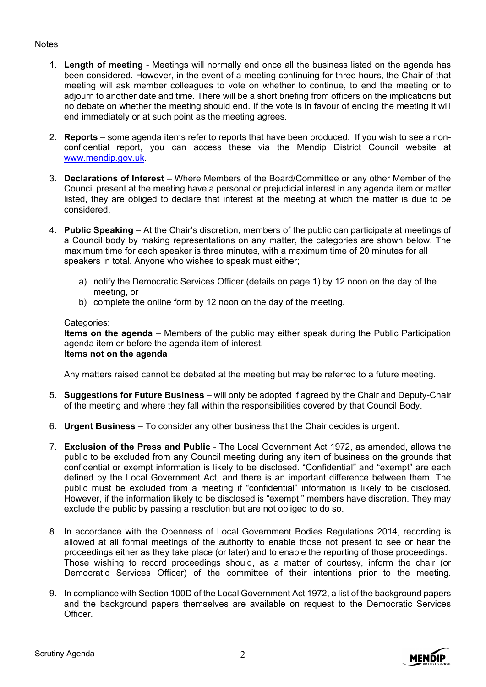#### **Notes**

- 1. **Length of meeting** Meetings will normally end once all the business listed on the agenda has been considered. However, in the event of a meeting continuing for three hours, the Chair of that meeting will ask member colleagues to vote on whether to continue, to end the meeting or to adjourn to another date and time. There will be a short briefing from officers on the implications but no debate on whether the meeting should end. If the vote is in favour of ending the meeting it will end immediately or at such point as the meeting agrees.
- 2. **Reports** some agenda items refer to reports that have been produced. If you wish to see a nonconfidential report, you can access these via the Mendip District Council website at [www.mendip.gov.uk.](http://www.mendip.gov.uk/)
- 3. **Declarations of Interest** Where Members of the Board/Committee or any other Member of the Council present at the meeting have a personal or prejudicial interest in any agenda item or matter listed, they are obliged to declare that interest at the meeting at which the matter is due to be considered.
- 4. **Public Speaking** At the Chair's discretion, members of the public can participate at meetings of a Council body by making representations on any matter, the categories are shown below. The maximum time for each speaker is three minutes, with a maximum time of 20 minutes for all speakers in total. Anyone who wishes to speak must either;
	- a) notify the Democratic Services Officer (details on page 1) by 12 noon on the day of the meeting, or
	- b) complete the online form by 12 noon on the day of the meeting.

#### Categories:

**Items on the agenda** – Members of the public may either speak during the Public Participation agenda item or before the agenda item of interest. **Items not on the agenda**

Any matters raised cannot be debated at the meeting but may be referred to a future meeting.

- 5. **Suggestions for Future Business** will only be adopted if agreed by the Chair and Deputy-Chair of the meeting and where they fall within the responsibilities covered by that Council Body.
- 6. **Urgent Business** To consider any other business that the Chair decides is urgent.
- 7. **Exclusion of the Press and Public** The Local Government Act 1972, as amended, allows the public to be excluded from any Council meeting during any item of business on the grounds that confidential or exempt information is likely to be disclosed. "Confidential" and "exempt" are each defined by the Local Government Act, and there is an important difference between them. The public must be excluded from a meeting if "confidential" information is likely to be disclosed. However, if the information likely to be disclosed is "exempt," members have discretion. They may exclude the public by passing a resolution but are not obliged to do so.
- 8. In accordance with the Openness of Local Government Bodies Regulations 2014, recording is allowed at all formal meetings of the authority to enable those not present to see or hear the proceedings either as they take place (or later) and to enable the reporting of those proceedings. Those wishing to record proceedings should, as a matter of courtesy, inform the chair (or Democratic Services Officer) of the committee of their intentions prior to the meeting.
- 9. In compliance with Section 100D of the Local Government Act 1972, a list of the background papers and the background papers themselves are available on request to the Democratic Services **Officer**

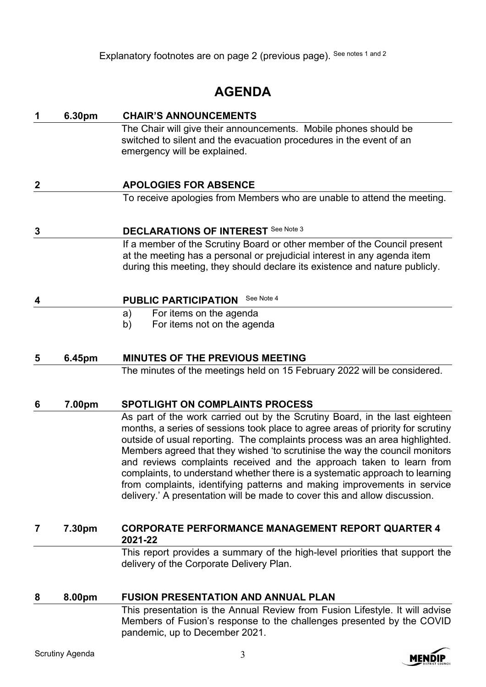Explanatory footnotes are on page 2 (previous page). See notes 1 and 2

### **AGENDA**

| 1                | 6.30pm | <b>CHAIR'S ANNOUNCEMENTS</b>                                                                                                                                                                                                                                                                                                                                                                                                                                                                                                                                                                                                                   |
|------------------|--------|------------------------------------------------------------------------------------------------------------------------------------------------------------------------------------------------------------------------------------------------------------------------------------------------------------------------------------------------------------------------------------------------------------------------------------------------------------------------------------------------------------------------------------------------------------------------------------------------------------------------------------------------|
|                  |        | The Chair will give their announcements. Mobile phones should be<br>switched to silent and the evacuation procedures in the event of an<br>emergency will be explained.                                                                                                                                                                                                                                                                                                                                                                                                                                                                        |
| $\boldsymbol{2}$ |        | <b>APOLOGIES FOR ABSENCE</b>                                                                                                                                                                                                                                                                                                                                                                                                                                                                                                                                                                                                                   |
|                  |        | To receive apologies from Members who are unable to attend the meeting.                                                                                                                                                                                                                                                                                                                                                                                                                                                                                                                                                                        |
| 3                |        | <b>DECLARATIONS OF INTEREST See Note 3</b>                                                                                                                                                                                                                                                                                                                                                                                                                                                                                                                                                                                                     |
|                  |        | If a member of the Scrutiny Board or other member of the Council present<br>at the meeting has a personal or prejudicial interest in any agenda item<br>during this meeting, they should declare its existence and nature publicly.                                                                                                                                                                                                                                                                                                                                                                                                            |
| $\boldsymbol{4}$ |        | See Note 4<br><b>PUBLIC PARTICIPATION</b>                                                                                                                                                                                                                                                                                                                                                                                                                                                                                                                                                                                                      |
|                  |        | For items on the agenda<br>a)                                                                                                                                                                                                                                                                                                                                                                                                                                                                                                                                                                                                                  |
|                  |        | For items not on the agenda<br>b)                                                                                                                                                                                                                                                                                                                                                                                                                                                                                                                                                                                                              |
| 5                | 6.45pm | <b>MINUTES OF THE PREVIOUS MEETING</b>                                                                                                                                                                                                                                                                                                                                                                                                                                                                                                                                                                                                         |
|                  |        | The minutes of the meetings held on 15 February 2022 will be considered.                                                                                                                                                                                                                                                                                                                                                                                                                                                                                                                                                                       |
| 6                | 7.00pm | <b>SPOTLIGHT ON COMPLAINTS PROCESS</b>                                                                                                                                                                                                                                                                                                                                                                                                                                                                                                                                                                                                         |
|                  |        | As part of the work carried out by the Scrutiny Board, in the last eighteen<br>months, a series of sessions took place to agree areas of priority for scrutiny<br>outside of usual reporting. The complaints process was an area highlighted.<br>Members agreed that they wished 'to scrutinise the way the council monitors<br>and reviews complaints received and the approach taken to learn from<br>complaints, to understand whether there is a systematic approach to learning<br>from complaints, identifying patterns and making improvements in service<br>delivery.' A presentation will be made to cover this and allow discussion. |
| 7                | 7.30pm | <b>CORPORATE PERFORMANCE MANAGEMENT REPORT QUARTER 4</b><br>2021-22                                                                                                                                                                                                                                                                                                                                                                                                                                                                                                                                                                            |
|                  |        | This report provides a summary of the high-level priorities that support the<br>delivery of the Corporate Delivery Plan.                                                                                                                                                                                                                                                                                                                                                                                                                                                                                                                       |
| 8                | 8.00pm | <b>FUSION PRESENTATION AND ANNUAL PLAN</b>                                                                                                                                                                                                                                                                                                                                                                                                                                                                                                                                                                                                     |
|                  |        |                                                                                                                                                                                                                                                                                                                                                                                                                                                                                                                                                                                                                                                |

This presentation is the Annual Review from Fusion Lifestyle. It will advise Members of Fusion's response to the challenges presented by the COVID pandemic, up to December 2021.